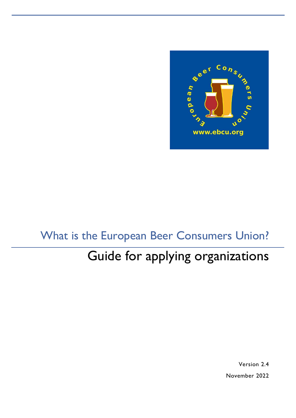

# What is the European Beer Consumers Union?

# Guide for applying organizations

Version 2.4 November 2022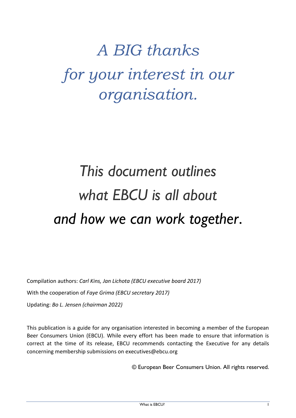# *A BIG thanks for your interest in our organisation.*

# *This document outlines what EBCU is all about and how we can work together*.

Compilation authors: *Carl Kins, Jan Lichota (EBCU executive board 2017)* With the cooperation of *Faye Grima (EBCU secretary 2017)* Updating: *Bo L. Jensen (chairman 2022)*

This publication is a guide for any organisation interested in becoming a member of the European Beer Consumers Union (EBCU). While every effort has been made to ensure that information is correct at the time of its release, EBCU recommends contacting the Executive for any details concerning membership submissions on executives@ebcu.org

© European Beer Consumers Union. All rights reserved.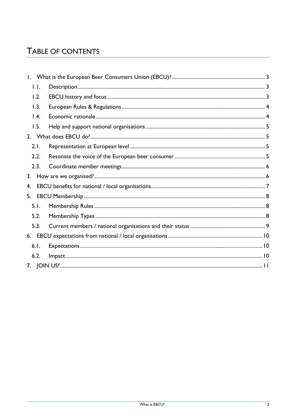# TABLE OF CONTENTS

| $\mathbf{L}$ |  |  |  |  |  |
|--------------|--|--|--|--|--|
| 1.1.         |  |  |  |  |  |
| 1.2.         |  |  |  |  |  |
| 1.3.         |  |  |  |  |  |
| 1.4.         |  |  |  |  |  |
| 1.5.         |  |  |  |  |  |
|              |  |  |  |  |  |
| 2.1.         |  |  |  |  |  |
| 2.2.         |  |  |  |  |  |
| 2.3.         |  |  |  |  |  |
| 3.           |  |  |  |  |  |
| 4.           |  |  |  |  |  |
| 5.           |  |  |  |  |  |
| 5.1.         |  |  |  |  |  |
| 5.2.         |  |  |  |  |  |
| 5.3.         |  |  |  |  |  |
|              |  |  |  |  |  |
| 6.1.         |  |  |  |  |  |
| 6.2.         |  |  |  |  |  |
|              |  |  |  |  |  |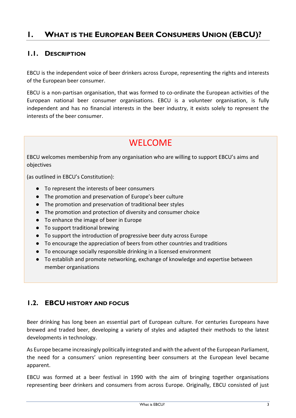# <span id="page-3-0"></span>**1. WHAT IS THE EUROPEAN BEER CONSUMERS UNION (EBCU)?**

#### <span id="page-3-1"></span>**1.1. DESCRIPTION**

EBCU is the independent voice of beer drinkers across Europe, representing the rights and interests of the European beer consumer.

EBCU is a non-partisan organisation, that was formed to co-ordinate the European activities of the European national beer consumer organisations. EBCU is a volunteer organisation, is fully independent and has no financial interests in the beer industry, it exists solely to represent the interests of the beer consumer.

# WELCOME

EBCU welcomes membership from any organisation who are willing to support EBCU's aims and objectives

(as outlined in EBCU's Constitution):

- To represent the interests of beer consumers
- The promotion and preservation of Europe's beer culture
- The promotion and preservation of traditional beer styles
- The promotion and protection of diversity and consumer choice
- To enhance the image of beer in Europe
- To support traditional brewing
- To support the introduction of progressive beer duty across Europe
- To encourage the appreciation of beers from other countries and traditions
- To encourage socially responsible drinking in a licensed environment
- To establish and promote networking, exchange of knowledge and expertise between member organisations

#### <span id="page-3-2"></span>**1.2. EBCU HISTORY AND FOCUS**

Beer drinking has long been an essential part of European culture. For centuries Europeans have brewed and traded beer, developing a variety of styles and adapted their methods to the latest developments in technology.

As Europe became increasingly politically integrated and with the advent of the European Parliament, the need for a consumers' union representing beer consumers at the European level became apparent.

EBCU was formed at a beer festival in 1990 with the aim of bringing together organisations representing beer drinkers and consumers from across Europe. Originally, EBCU consisted of just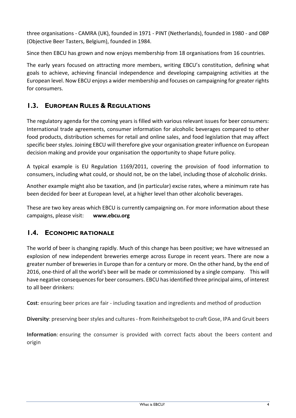three organisations - CAMRA (UK), founded in 1971 - PINT (Netherlands), founded in 1980 - and OBP (Objective Beer Tasters, Belgium), founded in 1984.

Since then EBCU has grown and now enjoys membership from 18 organisations from 16 countries.

The early years focused on attracting more members, writing EBCU's constitution, defining what goals to achieve, achieving financial independence and developing campaigning activities at the European level. Now EBCU enjoys a wider membership and focuses on campaigning for greater rights for consumers.

#### <span id="page-4-0"></span>**1.3. EUROPEAN RULES & REGULATIONS**

The regulatory agenda for the coming years is filled with various relevant issues for beer consumers: International trade agreements, consumer information for alcoholic beverages compared to other food products, distribution schemes for retail and online sales, and food legislation that may affect specific beer styles. Joining EBCU will therefore give your organisation greater influence on European decision making and provide your organisation the opportunity to shape future policy.

A typical example is EU Regulation 1169/2011, covering the provision of food information to consumers, including what could, or should not, be on the label, including those of alcoholic drinks.

Another example might also be taxation, and (in particular) excise rates, where a minimum rate has been decided for beer at European level, at a higher level than other alcoholic beverages.

These are two key areas which EBCU is currently campaigning on. For more information about these campaigns, please visit: **www.ebcu.org**

#### <span id="page-4-1"></span>**1.4. ECONOMIC RATIONALE**

The world of beer is changing rapidly. Much of this change has been positive; we have witnessed an explosion of new independent breweries emerge across Europe in recent years. There are now a greater number of breweries in Europe than for a century or more. On the other hand, by the end of 2016, one-third of all the world's beer will be made or commissioned by a single company. This will have negative consequences for beer consumers. EBCU has identified three principal aims, of interest to all beer drinkers:

**Cost**: ensuring beer prices are fair - including taxation and ingredients and method of production

**Diversity**: preserving beer styles and cultures - from Reinheitsgebot to craft Gose, IPA and Gruit beers

**Information**: ensuring the consumer is provided with correct facts about the beers content and origin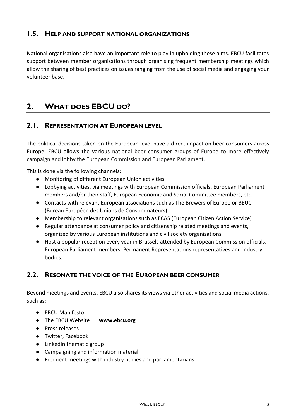#### <span id="page-5-0"></span>**1.5. HELP AND SUPPORT NATIONAL ORGANIZATIONS**

National organisations also have an important role to play in upholding these aims. EBCU facilitates support between member organisations through organising frequent membership meetings which allow the sharing of best practices on issues ranging from the use of social media and engaging your volunteer base.

# <span id="page-5-1"></span>**2. WHAT DOES EBCU DO?**

#### <span id="page-5-2"></span>**2.1. REPRESENTATION AT EUROPEAN LEVEL**

The political decisions taken on the European level have a direct impact on beer consumers across Europe. EBCU allows the various national beer consumer groups of Europe to more effectively campaign and lobby the European Commission and European Parliament.

This is done via the following channels:

- Monitoring of different European Union activities
- Lobbying activities, via meetings with European Commission officials, European Parliament members and/or their staff, European Economic and Social Committee members, etc.
- Contacts with relevant European associations such as The Brewers of Europe or BEUC (Bureau Européen des Unions de Consommateurs)
- Membership to relevant organisations such as ECAS (European Citizen Action Service)
- Regular attendance at consumer policy and citizenship related meetings and events, organized by various European institutions and civil society organisations
- Host a popular reception every year in Brussels attended by European Commission officials, European Parliament members, Permanent Representations representatives and industry bodies.

#### <span id="page-5-3"></span>**2.2. RESONATE THE VOICE OF THE EUROPEAN BEER CONSUMER**

Beyond meetings and events, EBCU also shares its views via other activities and social media actions, such as:

- EBCU Manifesto
- The EBCU Website **www.ebcu.org**
- Press releases
- Twitter, Facebook
- LinkedIn thematic group
- Campaigning and information material
- Frequent meetings with industry bodies and parliamentarians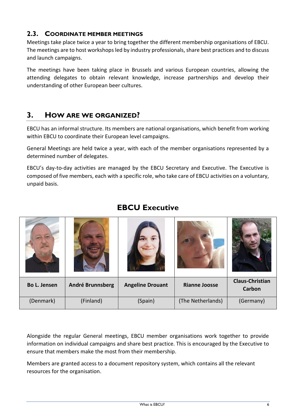#### <span id="page-6-0"></span>**2.3. COORDINATE MEMBER MEETINGS**

Meetings take place twice a year to bring together the different membership organisations of EBCU. The meetings are to host workshops led by industry professionals, share best practices and to discuss and launch campaigns.

The meetings have been taking place in Brussels and various European countries, allowing the attending delegates to obtain relevant knowledge, increase partnerships and develop their understanding of other European beer cultures.

## <span id="page-6-1"></span>**3. HOW ARE WE ORGANIZED?**

EBCU has an informal structure. Its members are national organisations, which benefit from working within EBCU to coordinate their European level campaigns.

General Meetings are held twice a year, with each of the member organisations represented by a determined number of delegates.

EBCU's day-to-day activities are managed by the EBCU Secretary and Executive. The Executive is composed of five members, each with a specific role, who take care of EBCU activities on a voluntary, unpaid basis.

| Bo L. Jensen | André Brunnsberg | <b>Angeline Drouant</b> | <b>Rianne Joosse</b> | <b>Claus-Christian</b><br>Carbon |
|--------------|------------------|-------------------------|----------------------|----------------------------------|
| (Denmark)    | (Finland)        | (Spain)                 | (The Netherlands)    | (Germany)                        |

### **EBCU Executive**

Alongside the regular General meetings, EBCU member organisations work together to provide information on individual campaigns and share best practice. This is encouraged by the Executive to ensure that members make the most from their membership.

Members are granted access to a document repository system, which contains all the relevant resources for the organisation.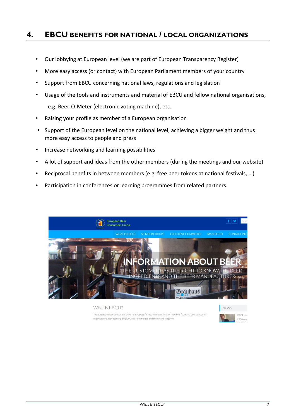#### <span id="page-7-0"></span>**4. EBCU BENEFITS FOR NATIONAL / LOCAL ORGANIZATIONS**

- Our lobbying at European level (we are part of European Transparency Register)
- More easy access (or contact) with European Parliament members of your country
- Support from EBCU concerning national laws, regulations and legislation
- Usage of the tools and instruments and material of EBCU and fellow national organisations, e.g. Beer-O-Meter (electronic voting machine), etc.
- Raising your profile as member of a European organisation
- Support of the European level on the national level, achieving a bigger weight and thus more easy access to people and press
- Increase networking and learning possibilities
- A lot of support and ideas from the other members (during the meetings and our website)
- Reciprocal benefits in between members (e.g. free beer tokens at national festivals, ...)
- Participation in conferences or learning programmes from related partners.



What is EBCU? The European Beer Consumers Union (EBCU) was formed in Bruges in May 1990 by 3 founding beer co organisations, representing Belgium, The Netherlands and the United Kingdom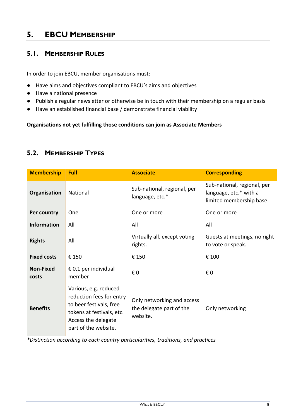## <span id="page-8-0"></span>**5. EBCU MEMBERSHIP**

#### <span id="page-8-1"></span>**5.1. MEMBERSHIP RULES**

In order to join EBCU, member organisations must:

- Have aims and objectives compliant to EBCU's aims and objectives
- Have a national presence
- Publish a regular newsletter or otherwise be in touch with their membership on a regular basis
- Have an established financial base / demonstrate financial viability

**Organisations not yet fulfilling those conditions can join as Associate Members** 

#### <span id="page-8-2"></span>**5.2. MEMBERSHIP TYPES**

| <b>Membership</b>         | Full                                                                                                                                                     | <b>Associate</b>                                                   | <b>Corresponding</b>                                                              |
|---------------------------|----------------------------------------------------------------------------------------------------------------------------------------------------------|--------------------------------------------------------------------|-----------------------------------------------------------------------------------|
| Organisation              | National                                                                                                                                                 | Sub-national, regional, per<br>language, etc.*                     | Sub-national, regional, per<br>language, etc.* with a<br>limited membership base. |
| Per country               | One                                                                                                                                                      | One or more                                                        | One or more                                                                       |
| <b>Information</b>        | All                                                                                                                                                      | All                                                                | All                                                                               |
| <b>Rights</b>             | All                                                                                                                                                      | Virtually all, except voting<br>rights.                            | Guests at meetings, no right<br>to vote or speak.                                 |
| <b>Fixed costs</b>        | € 150                                                                                                                                                    | € 150                                                              | € 100                                                                             |
| <b>Non-Fixed</b><br>costs | € 0,1 per individual<br>member                                                                                                                           | € 0                                                                | € 0                                                                               |
| <b>Benefits</b>           | Various, e.g. reduced<br>reduction fees for entry<br>to beer festivals, free<br>tokens at festivals, etc.<br>Access the delegate<br>part of the website. | Only networking and access<br>the delegate part of the<br>website. | Only networking                                                                   |

*\*Distinction according to each country particularities, traditions, and practices*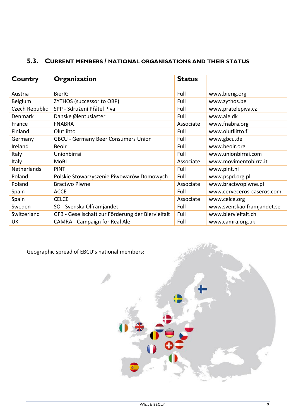| Country        | Organization                                      | <b>Status</b> |                            |
|----------------|---------------------------------------------------|---------------|----------------------------|
| Austria        | <b>BierIG</b>                                     | Full          | www.bierig.org             |
| Belgium        | ZYTHOS (successor to OBP)                         | Full          | www.zythos.be              |
| Czech Republic | SPP - Sdružení Přátel Piva                        | Full          | www.pratelepiva.cz         |
| <b>Denmark</b> | Danske Ølentusiaster                              | Full          | www.ale.dk                 |
| France         | <b>FNABRA</b>                                     | Associate     | www.fnabra.org             |
| Finland        | Olutliitto                                        | Full          | www.olutliitto.fi          |
| Germany        | <b>GBCU - Germany Beer Consumers Union</b>        | Full          | www.gbcu.de                |
| Ireland        | <b>Beoir</b>                                      | Full          | www.beoir.org              |
| Italy          | Unionbirrai                                       | Full          | www.unionbirrai.com        |
| Italy          | MoBI                                              | Associate     | www.movimentobirra.it      |
| Netherlands    | <b>PINT</b>                                       | Full          | www.pint.nl                |
| Poland         | Polskie Stowarzyszenie Piwowarów Domowych         | Full          | www.pspd.org.pl            |
| Poland         | <b>Bractwo Piwne</b>                              | Associate     | www.bractwopiwne.pl        |
| Spain          | <b>ACCE</b>                                       | Full          | www.cerveceros-caseros.com |
| Spain          | <b>CELCE</b>                                      | Associate     | www.celce.org              |
| Sweden         | SÖ - Svenska Ölfrämjandet                         | Full          | www.svenskaolframjandet.se |
| Switzerland    | GFB - Gesellschaft zur Förderung der Biervielfalt | Full          | www.biervielfalt.ch        |
| UK             | <b>CAMRA - Campaign for Real Ale</b>              | Full          | www.camra.org.uk           |

# <span id="page-9-0"></span>**5.3. CURRENT MEMBERS / NATIONAL ORGANISATIONS AND THEIR STATUS**

Geographic spread of EBCU's national members:

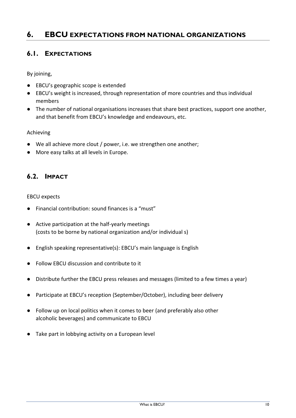### <span id="page-10-0"></span>**6. EBCU EXPECTATIONS FROM NATIONAL ORGANIZATIONS**

#### <span id="page-10-1"></span>**6.1. EXPECTATIONS**

By joining,

- EBCU's geographic scope is extended
- EBCU's weight is increased, through representation of more countries and thus individual members
- The number of national organisations increases that share best practices, support one another, and that benefit from EBCU's knowledge and endeavours, etc.

#### Achieving

- We all achieve more clout / power, i.e. we strengthen one another;
- More easy talks at all levels in Europe.

#### <span id="page-10-2"></span>**6.2. IMPACT**

EBCU expects

- Financial contribution: sound finances is a "must"
- Active participation at the half-yearly meetings (costs to be borne by national organization and/or individual s)
- English speaking representative(s): EBCU's main language is English
- Follow EBCU discussion and contribute to it
- Distribute further the EBCU press releases and messages (limited to a few times a year)
- Participate at EBCU's reception (September/October), including beer delivery
- Follow up on local politics when it comes to beer (and preferably also other alcoholic beverages) and communicate to EBCU
- Take part in lobbying activity on a European level